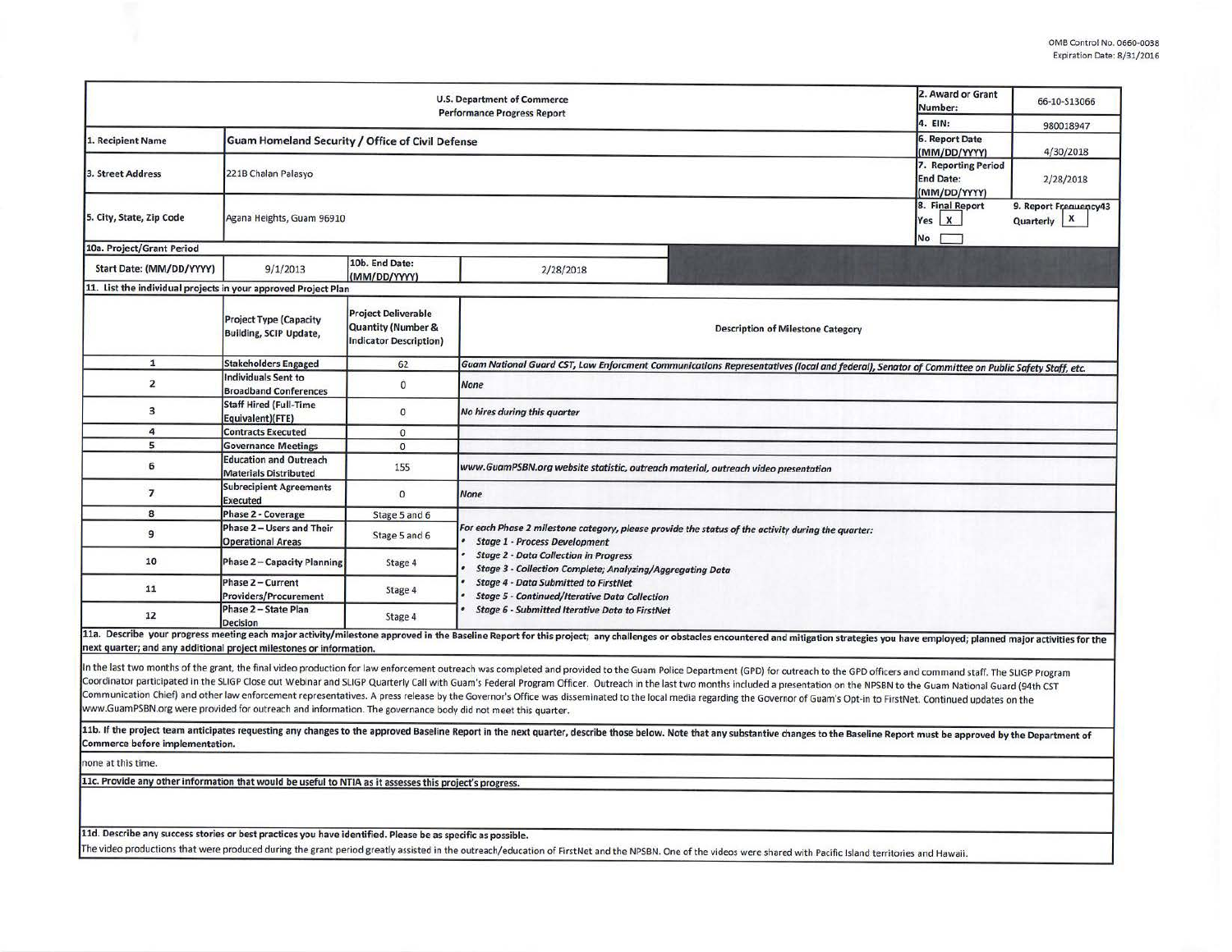|                                                                                                             | 2. Award or Grant<br>Number:                                   | 66-10-S13066                                                                                 |                                                                                                                                                                                                                                                                                                                                                                                                                                                                                                                                                                                                                                                                                                |  |  |  |  |  |  |  |  |
|-------------------------------------------------------------------------------------------------------------|----------------------------------------------------------------|----------------------------------------------------------------------------------------------|------------------------------------------------------------------------------------------------------------------------------------------------------------------------------------------------------------------------------------------------------------------------------------------------------------------------------------------------------------------------------------------------------------------------------------------------------------------------------------------------------------------------------------------------------------------------------------------------------------------------------------------------------------------------------------------------|--|--|--|--|--|--|--|--|
|                                                                                                             | 4. EIN:                                                        | 980018947                                                                                    |                                                                                                                                                                                                                                                                                                                                                                                                                                                                                                                                                                                                                                                                                                |  |  |  |  |  |  |  |  |
| 1. Recipient Name                                                                                           | Guam Homeland Security / Office of Civil Defense               | <b>6. Report Date</b><br>(MM/DD/YYYY)                                                        | 4/30/2018                                                                                                                                                                                                                                                                                                                                                                                                                                                                                                                                                                                                                                                                                      |  |  |  |  |  |  |  |  |
| 3. Street Address                                                                                           | 221B Chalan Palasyo                                            | 7. Reporting Period<br><b>End Date:</b><br>(MM/DD/YYYY)                                      | 2/28/2018                                                                                                                                                                                                                                                                                                                                                                                                                                                                                                                                                                                                                                                                                      |  |  |  |  |  |  |  |  |
| 5. City, State, Zip Code                                                                                    | Agana Heights, Guam 96910                                      | 8. Final Report<br>$Yes$ $X$<br><b>No</b>                                                    | 9. Report Frequency43<br>X<br>Quarterly                                                                                                                                                                                                                                                                                                                                                                                                                                                                                                                                                                                                                                                        |  |  |  |  |  |  |  |  |
| 10a. Project/Grant Period                                                                                   |                                                                |                                                                                              |                                                                                                                                                                                                                                                                                                                                                                                                                                                                                                                                                                                                                                                                                                |  |  |  |  |  |  |  |  |
| Start Date: (MM/DD/YYYY)                                                                                    | 9/1/2013                                                       | 10b. End Date:<br>(MM/DD/YYYY)                                                               | 2/28/2018                                                                                                                                                                                                                                                                                                                                                                                                                                                                                                                                                                                                                                                                                      |  |  |  |  |  |  |  |  |
| 11. List the individual projects in your approved Project Plan                                              |                                                                |                                                                                              |                                                                                                                                                                                                                                                                                                                                                                                                                                                                                                                                                                                                                                                                                                |  |  |  |  |  |  |  |  |
|                                                                                                             | <b>Project Type (Capacity</b><br><b>Building, SCIP Update,</b> | <b>Project Deliverable</b><br><b>Quantity (Number &amp;</b><br><b>Indicator Description)</b> | <b>Description of Milestone Category</b>                                                                                                                                                                                                                                                                                                                                                                                                                                                                                                                                                                                                                                                       |  |  |  |  |  |  |  |  |
| $\mathbf{1}$                                                                                                | <b>Stakeholders Engaged</b>                                    | 62                                                                                           | Guam National Guard CST, Law Enforcment Communications Representatives (local and federal), Senator of Committee on Public Safety Staff, etc.                                                                                                                                                                                                                                                                                                                                                                                                                                                                                                                                                  |  |  |  |  |  |  |  |  |
| $\overline{2}$                                                                                              | <b>Individuals Sent to</b><br><b>Broadband Conferences</b>     | $\bf{0}$                                                                                     | <b>None</b>                                                                                                                                                                                                                                                                                                                                                                                                                                                                                                                                                                                                                                                                                    |  |  |  |  |  |  |  |  |
| 3                                                                                                           | <b>Staff Hired (Full-Time</b><br>Equivalent)(FTE)              | $\mathbf{0}$                                                                                 | No hires during this quarter                                                                                                                                                                                                                                                                                                                                                                                                                                                                                                                                                                                                                                                                   |  |  |  |  |  |  |  |  |
| 4                                                                                                           | <b>Contracts Executed</b>                                      | $\mathbf{0}$                                                                                 |                                                                                                                                                                                                                                                                                                                                                                                                                                                                                                                                                                                                                                                                                                |  |  |  |  |  |  |  |  |
| 5                                                                                                           | <b>Governance Meetings</b>                                     | $\circ$                                                                                      |                                                                                                                                                                                                                                                                                                                                                                                                                                                                                                                                                                                                                                                                                                |  |  |  |  |  |  |  |  |
| 6                                                                                                           | <b>Education and Outreach</b><br><b>Materials Distributed</b>  | 155                                                                                          | www.GuamPSBN.org website statistic, outreach material, outreach video presentation                                                                                                                                                                                                                                                                                                                                                                                                                                                                                                                                                                                                             |  |  |  |  |  |  |  |  |
| $\overline{7}$                                                                                              | <b>Subrecipient Agreements</b><br><b>Executed</b>              | $\mathbf{0}$                                                                                 | <b>None</b>                                                                                                                                                                                                                                                                                                                                                                                                                                                                                                                                                                                                                                                                                    |  |  |  |  |  |  |  |  |
| 8                                                                                                           | Phase 2 - Coverage                                             | Stage 5 and 6                                                                                |                                                                                                                                                                                                                                                                                                                                                                                                                                                                                                                                                                                                                                                                                                |  |  |  |  |  |  |  |  |
| 9                                                                                                           | Phase 2 - Users and Their<br><b>Operational Areas</b>          | Stage 5 and 6                                                                                | For each Phase 2 milestone category, please provide the status of the activity during the quarter:<br><b>Stage 1 - Process Development</b>                                                                                                                                                                                                                                                                                                                                                                                                                                                                                                                                                     |  |  |  |  |  |  |  |  |
| 10                                                                                                          | <b>Phase 2 - Capacity Planning</b>                             | Stage 4                                                                                      | <b>Stage 2 - Data Collection in Progress</b><br><b>Stage 3 - Collection Complete; Analyzing/Aggregating Data</b>                                                                                                                                                                                                                                                                                                                                                                                                                                                                                                                                                                               |  |  |  |  |  |  |  |  |
| 11                                                                                                          | Phase 2 - Current<br>Providers/Procurement                     | Stage 4                                                                                      | <b>Stage 4 - Data Submitted to FirstNet</b><br><b>Stage 5 - Continued/Iterative Data Collection</b>                                                                                                                                                                                                                                                                                                                                                                                                                                                                                                                                                                                            |  |  |  |  |  |  |  |  |
| 12                                                                                                          | Phase 2 - State Plan<br><b>Decision</b>                        | Stage 4                                                                                      | <b>Stage 6 - Submitted Iterative Data to FirstNet</b>                                                                                                                                                                                                                                                                                                                                                                                                                                                                                                                                                                                                                                          |  |  |  |  |  |  |  |  |
| next quarter; and any additional project milestones or information.                                         |                                                                |                                                                                              | 11a. Describe your progress meeting each major activity/milestone approved in the Baseline Report for this project; any challenges or obstacles encountered and mitigation strategies you have employed; planned major activit                                                                                                                                                                                                                                                                                                                                                                                                                                                                 |  |  |  |  |  |  |  |  |
| www.GuamPSBN.org were provided for outreach and information. The governance body did not meet this quarter. |                                                                |                                                                                              | In the last two months of the grant, the final video production for law enforcement outreach was completed and provided to the Guam Police Department (GPD) for outreach to the GPD officers and command staff. The SLIGP Prog<br>Coordinator participated in the SLIGP Close out Webinar and SLIGP Quarterly Call with Guam's Federal Program Officer. Outreach in the last two months included a presentation on the NPSBN to the Guam National Guard (94th CS<br>Communication Chief) and other law enforcement representatives. A press release by the Governor's Office was disseminated to the local media regarding the Governor of Guam's Opt-in to FirstNet. Continued updates on the |  |  |  |  |  |  |  |  |
| Commerce before implementation.                                                                             |                                                                |                                                                                              | 11b. If the project team anticipates requesting any changes to the approved Baseline Report in the next quarter, describe those below. Note that any substantive changes to the Baseline Report must be approved by the Depart                                                                                                                                                                                                                                                                                                                                                                                                                                                                 |  |  |  |  |  |  |  |  |
| none at this time.                                                                                          |                                                                |                                                                                              |                                                                                                                                                                                                                                                                                                                                                                                                                                                                                                                                                                                                                                                                                                |  |  |  |  |  |  |  |  |
| 11c. Provide any other information that would be useful to NTIA as it assesses this project's progress.     |                                                                |                                                                                              |                                                                                                                                                                                                                                                                                                                                                                                                                                                                                                                                                                                                                                                                                                |  |  |  |  |  |  |  |  |
| 11d. Describe any success stories or best practices you have identified. Please be as specific as possible. |                                                                |                                                                                              |                                                                                                                                                                                                                                                                                                                                                                                                                                                                                                                                                                                                                                                                                                |  |  |  |  |  |  |  |  |
|                                                                                                             |                                                                |                                                                                              | The video productions that were produced during the grant period greatly assisted in the outreach/education of FirstNet and the NPSBN. One of the videos were shared with Pacific Island territories and Hawaii.                                                                                                                                                                                                                                                                                                                                                                                                                                                                               |  |  |  |  |  |  |  |  |